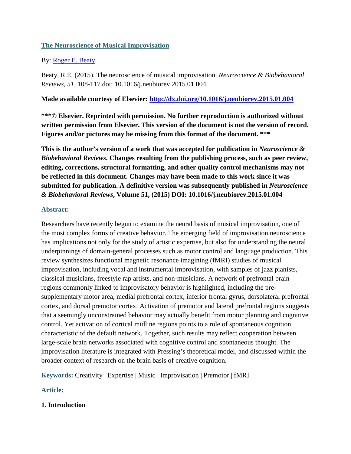## **The Neuroscience of Musical Improvisation**

## By: [Roger E. Beaty](http://libres.uncg.edu/ir/uncg/clist.aspx?id=4770)

Beaty, R.E. (2015). The neuroscience of musical improvisation. *Neuroscience & Biobehavioral Reviews, 51*, 108-117.doi: 10.1016/j.neubiorev.2015.01.004

## **Made available courtesy of Elsevier:<http://dx.doi.org/10.1016/j.neubiorev.2015.01.004>**

**\*\*\*© Elsevier. Reprinted with permission. No further reproduction is authorized without written permission from Elsevier. This version of the document is not the version of record. Figures and/or pictures may be missing from this format of the document. \*\*\***

**This is the author's version of a work that was accepted for publication in** *Neuroscience & Biobehavioral Reviews***. Changes resulting from the publishing process, such as peer review, editing, corrections, structural formatting, and other quality control mechanisms may not be reflected in this document. Changes may have been made to this work since it was submitted for publication. A definitive version was subsequently published in** *Neuroscience & Biobehavioral Reviews***, Volume 51, (2015) DOI: 10.1016/j.neubiorev.2015.01.004**

## **Abstract:**

Researchers have recently begun to examine the neural basis of musical improvisation, one of the most complex forms of creative behavior. The emerging field of improvisation neuroscience has implications not only for the study of artistic expertise, but also for understanding the neural underpinnings of domain-general processes such as motor control and language production. This review synthesizes functional magnetic resonance imagining (fMRI) studies of musical improvisation, including vocal and instrumental improvisation, with samples of jazz pianists, classical musicians, freestyle rap artists, and non-musicians. A network of prefrontal brain regions commonly linked to improvisatory behavior is highlighted, including the presupplementary motor area, medial prefrontal cortex, inferior frontal gyrus, dorsolateral prefrontal cortex, and dorsal premotor cortex. Activation of premotor and lateral prefrontal regions suggests that a seemingly unconstrained behavior may actually benefit from motor planning and cognitive control. Yet activation of cortical midline regions points to a role of spontaneous cognition characteristic of the default network. Together, such results may reflect cooperation between large-scale brain networks associated with cognitive control and spontaneous thought. The improvisation literature is integrated with Pressing's theoretical model, and discussed within the broader context of research on the brain basis of creative cognition.

**Keywords:** Creativity | Expertise | Music | Improvisation | Premotor | fMRI

# **Article:**

# **1. Introduction**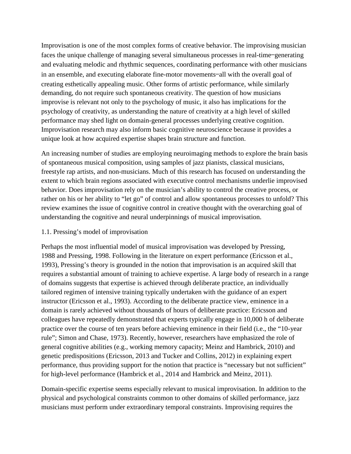Improvisation is one of the most complex forms of creative behavior. The improvising musician faces the unique challenge of managing several simultaneous processes in real-time—generating and evaluating melodic and rhythmic sequences, coordinating performance with other musicians in an ensemble, and executing elaborate fine-motor movements—all with the overall goal of creating esthetically appealing music. Other forms of artistic performance, while similarly demanding, do not require such spontaneous creativity. The question of how musicians improvise is relevant not only to the psychology of music, it also has implications for the psychology of creativity, as understanding the nature of creativity at a high level of skilled performance may shed light on domain-general processes underlying creative cognition. Improvisation research may also inform basic cognitive neuroscience because it provides a unique look at how acquired expertise shapes brain structure and function.

An increasing number of studies are employing neuroimaging methods to explore the brain basis of spontaneous musical composition, using samples of jazz pianists, classical musicians, freestyle rap artists, and non-musicians. Much of this research has focused on understanding the extent to which brain regions associated with executive control mechanisms underlie improvised behavior. Does improvisation rely on the musician's ability to control the creative process, or rather on his or her ability to "let go" of control and allow spontaneous processes to unfold? This review examines the issue of cognitive control in creative thought with the overarching goal of understanding the cognitive and neural underpinnings of musical improvisation.

### 1.1. Pressing's model of improvisation

Perhaps the most influential model of musical improvisation was developed by Pressing, 1988 and Pressing, 1998. Following in the literature on expert performance (Ericsson et al., 1993), Pressing's theory is grounded in the notion that improvisation is an acquired skill that requires a substantial amount of training to achieve expertise. A large body of research in a range of domains suggests that expertise is achieved through deliberate practice, an individually tailored regimen of intensive training typically undertaken with the guidance of an expert instructor (Ericsson et al., 1993). According to the deliberate practice view, eminence in a domain is rarely achieved without thousands of hours of deliberate practice: Ericsson and colleagues have repeatedly demonstrated that experts typically engage in 10,000 h of deliberate practice over the course of ten years before achieving eminence in their field (i.e., the "10-year rule"; Simon and Chase, 1973). Recently, however, researchers have emphasized the role of general cognitive abilities (e.g., working memory capacity; Meinz and Hambrick, 2010) and genetic predispositions (Ericsson, 2013 and Tucker and Collins, 2012) in explaining expert performance, thus providing support for the notion that practice is "necessary but not sufficient" for high-level performance (Hambrick et al., 2014 and Hambrick and Meinz, 2011).

Domain-specific expertise seems especially relevant to musical improvisation. In addition to the physical and psychological constraints common to other domains of skilled performance, jazz musicians must perform under extraordinary temporal constraints. Improvising requires the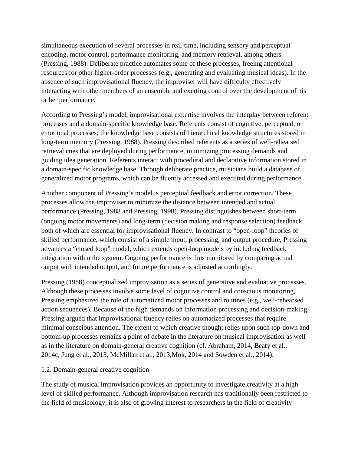simultaneous execution of several processes in real-time, including sensory and perceptual encoding, motor control, performance monitoring, and memory retrieval, among others (Pressing, 1988). Deliberate practice automates some of these processes, freeing attentional resources for other higher-order processes (e.g., generating and evaluating musical ideas). In the absence of such improvisational fluency, the improviser will have difficulty effectively interacting with other members of an ensemble and exerting control over the development of his or her performance.

According to Pressing's model, improvisational expertise involves the interplay between referent processes and a domain-specific knowledge base. Referents consist of cognitive, perceptual, or emotional processes; the knowledge base consists of hierarchical knowledge structures stored in long-term memory (Pressing, 1988). Pressing described referents as a series of well-rehearsed retrieval cues that are deployed during performance, minimizing processing demands and guiding idea generation. Referents interact with procedural and declarative information stored in a domain-specific knowledge base. Through deliberate practice, musicians build a database of generalized motor programs, which can be fluently accessed and executed during performance.

Another component of Pressing's model is perceptual feedback and error correction. These processes allow the improviser to minimize the distance between intended and actual performance (Pressing, 1988 and Pressing, 1998). Pressing distinguishes between short-term (ongoing motor movements) and long-term (decision making and response selection) feedback both of which are essential for improvisational fluency. In contrast to "open-loop" theories of skilled performance, which consist of a simple input, processing, and output procedure, Pressing advances a "closed loop" model, which extends open-loop models by including feedback integration within the system. Ongoing performance is thus monitored by comparing actual output with intended output, and future performance is adjusted accordingly.

Pressing (1988) conceptualized improvisation as a series of generative and evaluative processes. Although these processes involve some level of cognitive control and conscious monitoring, Pressing emphasized the role of automatized motor processes and routines (e.g., well-rehearsed action sequences). Because of the high demands on information processing and decision-making, Pressing argued that improvisational fluency relies on automatized processes that require minimal conscious attention. The extent to which creative thought relies upon such top-down and bottom-up processes remains a point of debate in the literature on musical improvisation as well as in the literature on domain-general creative cognition (cf. Abraham, 2014, Beaty et al., 2014c, Jung et al., 2013, McMillan et al., 2013,Mok, 2014 and Sowden et al., 2014).

## 1.2. Domain-general creative cognition

The study of musical improvisation provides an opportunity to investigate creativity at a high level of skilled performance. Although improvisation research has traditionally been restricted to the field of musicology, it is also of growing interest to researchers in the field of creativity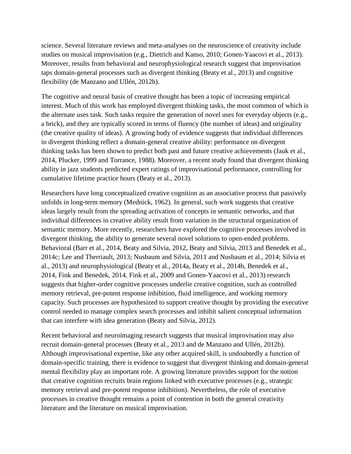science. Several literature reviews and meta-analyses on the neuroscience of creativity include studies on musical improvisation (e.g., Dietrich and Kanso, 2010; Gonen-Yaacovi et al., 2013). Moreover, results from behavioral and neurophysiological research suggest that improvisation taps domain-general processes such as divergent thinking (Beaty et al., 2013) and cognitive flexibility (de Manzano and Ullén, 2012b).

The cognitive and neural basis of creative thought has been a topic of increasing empirical interest. Much of this work has employed divergent thinking tasks, the most common of which is the alternate uses task. Such tasks require the generation of novel uses for everyday objects (e.g., a brick), and they are typically scored in terms of fluency (the number of ideas) and originality (the creative quality of ideas). A growing body of evidence suggests that individual differences in divergent thinking reflect a domain-general creative ability: performance on divergent thinking tasks has been shown to predict both past and future creative achievements (Jauk et al., 2014, Plucker, 1999 and Torrance, 1988). Moreover, a recent study found that divergent thinking ability in jazz students predicted expert ratings of improvisational performance, controlling for cumulative lifetime practice hours (Beaty et al., 2013).

Researchers have long conceptualized creative cognition as an associative process that passively unfolds in long-term memory (Mednick, 1962). In general, such work suggests that creative ideas largely result from the spreading activation of concepts in semantic networks, and that individual differences in creative ability result from variation in the structural organization of semantic memory. More recently, researchers have explored the cognitive processes involved in divergent thinking, the ability to generate several novel solutions to open-ended problems. Behavioral (Barr et al., 2014, Beaty and Silvia, 2012, Beaty and Silvia, 2013 and Benedek et al., 2014c; Lee and Therriault, 2013; Nusbaum and Silvia, 2011 and Nusbaum et al., 2014; Silvia et al., 2013) and neurophysiological (Beaty et al., 2014a, Beaty et al., 2014b, Benedek et al., 2014, Fink and Benedek, 2014, Fink et al., 2009 and Gonen-Yaacovi et al., 2013) research suggests that higher-order cognitive processes underlie creative cognition, such as controlled memory retrieval, pre-potent response inhibition, fluid intelligence, and working memory capacity. Such processes are hypothesized to support creative thought by providing the executive control needed to manage complex search processes and inhibit salient conceptual information that can interfere with idea generation (Beaty and Silvia, 2012).

Recent behavioral and neuroimaging research suggests that musical improvisation may also recruit domain-general processes (Beaty et al., 2013 and de Manzano and Ullén, 2012b). Although improvisational expertise, like any other acquired skill, is undoubtedly a function of domain-specific training, there is evidence to suggest that divergent thinking and domain-general mental flexibility play an important role. A growing literature provides support for the notion that creative cognition recruits brain regions linked with executive processes (e.g., strategic memory retrieval and pre-potent response inhibition). Nevertheless, the role of executive processes in creative thought remains a point of contention in both the general creativity literature and the literature on musical improvisation.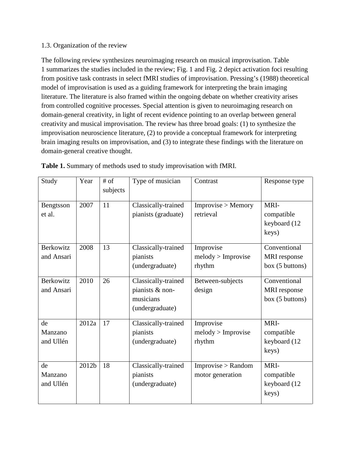### 1.3. Organization of the review

The following review synthesizes neuroimaging research on musical improvisation. Table 1 summarizes the studies included in the review; Fig. 1 and Fig. 2 depict activation foci resulting from positive task contrasts in select fMRI studies of improvisation. Pressing's (1988) theoretical model of improvisation is used as a guiding framework for interpreting the brain imaging literature. The literature is also framed within the ongoing debate on whether creativity arises from controlled cognitive processes. Special attention is given to neuroimaging research on domain-general creativity, in light of recent evidence pointing to an overlap between general creativity and musical improvisation. The review has three broad goals: (1) to synthesize the improvisation neuroscience literature, (2) to provide a conceptual framework for interpreting brain imaging results on improvisation, and (3) to integrate these findings with the literature on domain-general creative thought.

| Study                          | Year  | $#$ of<br>subjects | Type of musician                                                       | Contrast                                  | Response type                                          |
|--------------------------------|-------|--------------------|------------------------------------------------------------------------|-------------------------------------------|--------------------------------------------------------|
| Bengtsson<br>et al.            | 2007  | 11                 | Classically-trained<br>pianists (graduate)                             | Improvise > Memory<br>retrieval           | MRI-<br>compatible<br>keyboard (12<br>keys)            |
| <b>Berkowitz</b><br>and Ansari | 2008  | 13                 | Classically-trained<br>pianists<br>(undergraduate)                     | Improvise<br>melody > Improvise<br>rhythm | Conventional<br><b>MRI</b> response<br>box (5 buttons) |
| Berkowitz<br>and Ansari        | 2010  | 26                 | Classically-trained<br>pianists & non-<br>musicians<br>(undergraduate) | Between-subjects<br>design                | Conventional<br>MRI response<br>box (5 buttons)        |
| de<br>Manzano<br>and Ullén     | 2012a | 17                 | Classically-trained<br>pianists<br>(undergraduate)                     | Improvise<br>melody > Improvise<br>rhythm | MRI-<br>compatible<br>keyboard (12<br>keys)            |
| de<br>Manzano<br>and Ullén     | 2012b | 18                 | Classically-trained<br>pianists<br>(undergraduate)                     | Improvise > Random<br>motor generation    | MRI-<br>compatible<br>keyboard (12<br>keys)            |

**Table 1.** Summary of methods used to study improvisation with fMRI.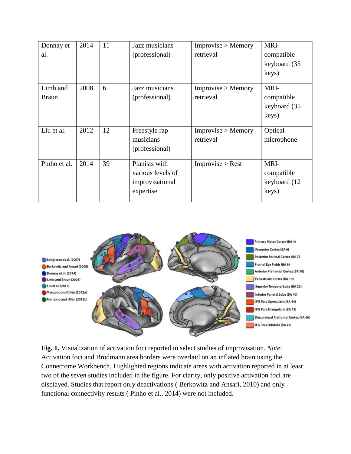| Donnay et    | 2014 | 11 | Jazz musicians    | Improvise > Memory | MRI-         |
|--------------|------|----|-------------------|--------------------|--------------|
| al.          |      |    | (professional)    | retrieval          | compatible   |
|              |      |    |                   |                    | keyboard (35 |
|              |      |    |                   |                    | keys)        |
|              |      |    |                   |                    |              |
| Limb and     | 2008 | 6  | Jazz musicians    | Improvise > Memory | MRI-         |
| <b>Braun</b> |      |    | (professional)    | retrieval          | compatible   |
|              |      |    |                   |                    | keyboard (35 |
|              |      |    |                   |                    | keys)        |
|              |      |    |                   |                    |              |
| Liu et al.   | 2012 | 12 | Freestyle rap     | Improvise > Memory | Optical      |
|              |      |    | musicians         | retrieval          | microphone   |
|              |      |    | (professional)    |                    |              |
|              |      |    |                   |                    |              |
| Pinho et al. | 2014 | 39 | Pianists with     | Improvise > Rest   | MRI-         |
|              |      |    | various levels of |                    | compatible   |
|              |      |    | improvisational   |                    | keyboard (12 |
|              |      |    | expertise         |                    | keys)        |
|              |      |    |                   |                    |              |



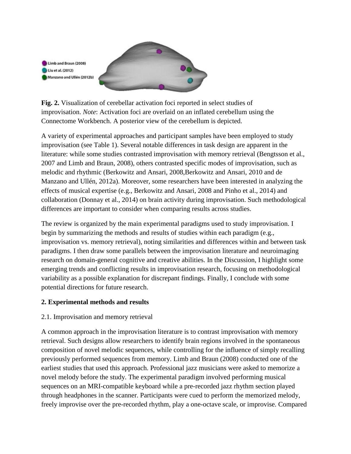

**Fig. 2.** Visualization of cerebellar activation foci reported in select studies of improvisation. *Note*: Activation foci are overlaid on an inflated cerebellum using the Connectome Workbench. A posterior view of the cerebellum is depicted.

A variety of experimental approaches and participant samples have been employed to study improvisation (see Table 1). Several notable differences in task design are apparent in the literature: while some studies contrasted improvisation with memory retrieval (Bengtsson et al., 2007 and Limb and Braun, 2008), others contrasted specific modes of improvisation, such as melodic and rhythmic (Berkowitz and Ansari, 2008,Berkowitz and Ansari, 2010 and de Manzano and Ullén, 2012a). Moreover, some researchers have been interested in analyzing the effects of musical expertise (e.g., Berkowitz and Ansari, 2008 and Pinho et al., 2014) and collaboration (Donnay et al., 2014) on brain activity during improvisation. Such methodological differences are important to consider when comparing results across studies.

The review is organized by the main experimental paradigms used to study improvisation. I begin by summarizing the methods and results of studies within each paradigm (e.g., improvisation vs. memory retrieval), noting similarities and differences within and between task paradigms. I then draw some parallels between the improvisation literature and neuroimaging research on domain-general cognitive and creative abilities. In the Discussion, I highlight some emerging trends and conflicting results in improvisation research, focusing on methodological variability as a possible explanation for discrepant findings. Finally, I conclude with some potential directions for future research.

## **2. Experimental methods and results**

# 2.1. Improvisation and memory retrieval

A common approach in the improvisation literature is to contrast improvisation with memory retrieval. Such designs allow researchers to identify brain regions involved in the spontaneous composition of novel melodic sequences, while controlling for the influence of simply recalling previously performed sequences from memory. Limb and Braun (2008) conducted one of the earliest studies that used this approach. Professional jazz musicians were asked to memorize a novel melody before the study. The experimental paradigm involved performing musical sequences on an MRI-compatible keyboard while a pre-recorded jazz rhythm section played through headphones in the scanner. Participants were cued to perform the memorized melody, freely improvise over the pre-recorded rhythm, play a one-octave scale, or improvise. Compared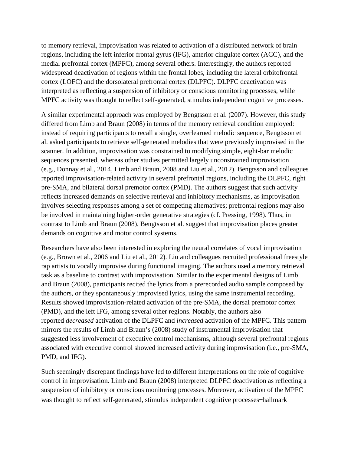to memory retrieval, improvisation was related to activation of a distributed network of brain regions, including the left inferior frontal gyrus (IFG), anterior cingulate cortex (ACC), and the medial prefrontal cortex (MPFC), among several others. Interestingly, the authors reported widespread deactivation of regions within the frontal lobes, including the lateral orbitofrontal cortex (LOFC) and the dorsolateral prefrontal cortex (DLPFC). DLPFC deactivation was interpreted as reflecting a suspension of inhibitory or conscious monitoring processes, while MPFC activity was thought to reflect self-generated, stimulus independent cognitive processes.

A similar experimental approach was employed by Bengtsson et al. (2007). However, this study differed from Limb and Braun (2008) in terms of the memory retrieval condition employed: instead of requiring participants to recall a single, overlearned melodic sequence, Bengtsson et al. asked participants to retrieve self-generated melodies that were previously improvised in the scanner. In addition, improvisation was constrained to modifying simple, eight-bar melodic sequences presented, whereas other studies permitted largely unconstrained improvisation (e.g., Donnay et al., 2014, Limb and Braun, 2008 and Liu et al., 2012). Bengtsson and colleagues reported improvisation-related activity in several prefrontal regions, including the DLPFC, right pre-SMA, and bilateral dorsal premotor cortex (PMD). The authors suggest that such activity reflects increased demands on selective retrieval and inhibitory mechanisms, as improvisation involves selecting responses among a set of competing alternatives; prefrontal regions may also be involved in maintaining higher-order generative strategies (cf. Pressing, 1998). Thus, in contrast to Limb and Braun (2008), Bengtsson et al. suggest that improvisation places greater demands on cognitive and motor control systems.

Researchers have also been interested in exploring the neural correlates of vocal improvisation (e.g., Brown et al., 2006 and Liu et al., 2012). Liu and colleagues recruited professional freestyle rap artists to vocally improvise during functional imaging. The authors used a memory retrieval task as a baseline to contrast with improvisation. Similar to the experimental designs of Limb and Braun (2008), participants recited the lyrics from a prerecorded audio sample composed by the authors, or they spontaneously improvised lyrics, using the same instrumental recording. Results showed improvisation-related activation of the pre-SMA, the dorsal premotor cortex (PMD), and the left IFG, among several other regions. Notably, the authors also reported *decreased* activation of the DLPFC and *increased* activation of the MPFC. This pattern mirrors the results of Limb and Braun's (2008) study of instrumental improvisation that suggested less involvement of executive control mechanisms, although several prefrontal regions associated with executive control showed increased activity during improvisation (i.e., pre-SMA, PMD, and IFG).

Such seemingly discrepant findings have led to different interpretations on the role of cognitive control in improvisation. Limb and Braun (2008) interpreted DLPFC deactivation as reflecting a suspension of inhibitory or conscious monitoring processes. Moreover, activation of the MPFC was thought to reflect self-generated, stimulus independent cognitive processes—hallmark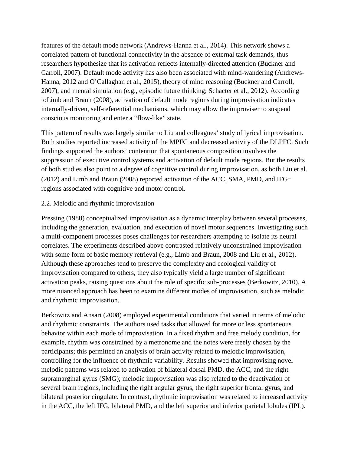features of the default mode network (Andrews-Hanna et al., 2014). This network shows a correlated pattern of functional connectivity in the absence of external task demands, thus researchers hypothesize that its activation reflects internally-directed attention (Buckner and Carroll, 2007). Default mode activity has also been associated with mind-wandering (Andrews-Hanna, 2012 and O'Callaghan et al., 2015), theory of mind reasoning (Buckner and Carroll, 2007), and mental simulation (e.g., episodic future thinking; Schacter et al., 2012). According toLimb and Braun (2008), activation of default mode regions during improvisation indicates internally-driven, self-referential mechanisms, which may allow the improviser to suspend conscious monitoring and enter a "flow-like" state.

This pattern of results was largely similar to Liu and colleagues' study of lyrical improvisation. Both studies reported increased activity of the MPFC and decreased activity of the DLPFC. Such findings supported the authors' contention that spontaneous composition involves the suppression of executive control systems and activation of default mode regions. But the results of both studies also point to a degree of cognitive control during improvisation, as both Liu et al. (2012) and Limb and Braun (2008) reported activation of the ACC, SMA, PMD, and IFG regions associated with cognitive and motor control.

### 2.2. Melodic and rhythmic improvisation

Pressing (1988) conceptualized improvisation as a dynamic interplay between several processes, including the generation, evaluation, and execution of novel motor sequences. Investigating such a multi-component processes poses challenges for researchers attempting to isolate its neural correlates. The experiments described above contrasted relatively unconstrained improvisation with some form of basic memory retrieval (e.g., Limb and Braun, 2008 and Liu et al., 2012). Although these approaches tend to preserve the complexity and ecological validity of improvisation compared to others, they also typically yield a large number of significant activation peaks, raising questions about the role of specific sub-processes (Berkowitz, 2010). A more nuanced approach has been to examine different modes of improvisation, such as melodic and rhythmic improvisation.

Berkowitz and Ansari (2008) employed experimental conditions that varied in terms of melodic and rhythmic constraints. The authors used tasks that allowed for more or less spontaneous behavior within each mode of improvisation. In a fixed rhythm and free melody condition, for example, rhythm was constrained by a metronome and the notes were freely chosen by the participants; this permitted an analysis of brain activity related to melodic improvisation, controlling for the influence of rhythmic variability. Results showed that improvising novel melodic patterns was related to activation of bilateral dorsal PMD, the ACC, and the right supramarginal gyrus (SMG); melodic improvisation was also related to the deactivation of several brain regions, including the right angular gyrus, the right superior frontal gyrus, and bilateral posterior cingulate. In contrast, rhythmic improvisation was related to increased activity in the ACC, the left IFG, bilateral PMD, and the left superior and inferior parietal lobules (IPL).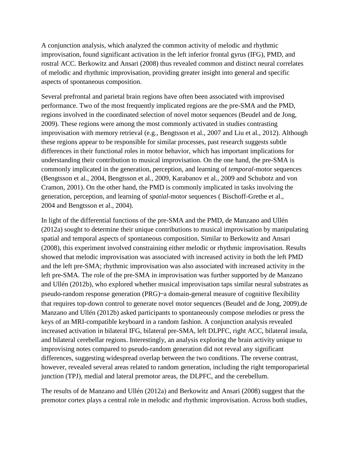A conjunction analysis, which analyzed the common activity of melodic and rhythmic improvisation, found significant activation in the left inferior frontal gyrus (IFG), PMD, and rostral ACC. Berkowitz and Ansari (2008) thus revealed common and distinct neural correlates of melodic and rhythmic improvisation, providing greater insight into general and specific aspects of spontaneous composition.

Several prefrontal and parietal brain regions have often been associated with improvised performance. Two of the most frequently implicated regions are the pre-SMA and the PMD, regions involved in the coordinated selection of novel motor sequences (Beudel and de Jong, 2009). These regions were among the most commonly activated in studies contrasting improvisation with memory retrieval (e.g., Bengtsson et al., 2007 and Liu et al., 2012). Although these regions appear to be responsible for similar processes, past research suggests subtle differences in their functional roles in motor behavior, which has important implications for understanding their contribution to musical improvisation. On the one hand, the pre-SMA is commonly implicated in the generation, perception, and learning of *temporal*-motor sequences (Bengtsson et al., 2004, Bengtsson et al., 2009, Karabanov et al., 2009 and Schubotz and von Cramon, 2001). On the other hand, the PMD is commonly implicated in tasks involving the generation, perception, and learning of *spatial*-motor sequences ( Bischoff-Grethe et al., 2004 and Bengtsson et al., 2004).

In light of the differential functions of the pre-SMA and the PMD, de Manzano and Ullén (2012a) sought to determine their unique contributions to musical improvisation by manipulating spatial and temporal aspects of spontaneous composition. Similar to Berkowitz and Ansari (2008), this experiment involved constraining either melodic or rhythmic improvisation. Results showed that melodic improvisation was associated with increased activity in both the left PMD and the left pre-SMA; rhythmic improvisation was also associated with increased activity in the left pre-SMA. The role of the pre-SMA in improvisation was further supported by de Manzano and Ullén (2012b), who explored whether musical improvisation taps similar neural substrates as pseudo-random response generation (PRG)—a domain-general measure of cognitive flexibility that requires top-down control to generate novel motor sequences (Beudel and de Jong, 2009).de Manzano and Ullén (2012b) asked participants to spontaneously compose melodies or press the keys of an MRI-compatible keyboard in a random fashion. A conjunction analysis revealed increased activation in bilateral IFG, bilateral pre-SMA, left DLPFC, right ACC, bilateral insula, and bilateral cerebellar regions. Interestingly, an analysis exploring the brain activity unique to improvising notes compared to pseudo-random generation did not reveal any significant differences, suggesting widespread overlap between the two conditions. The reverse contrast, however, revealed several areas related to random generation, including the right temporoparietal junction (TPJ), medial and lateral premotor areas, the DLPFC, and the cerebellum.

The results of de Manzano and Ullén (2012a) and Berkowitz and Ansari (2008) suggest that the premotor cortex plays a central role in melodic and rhythmic improvisation. Across both studies,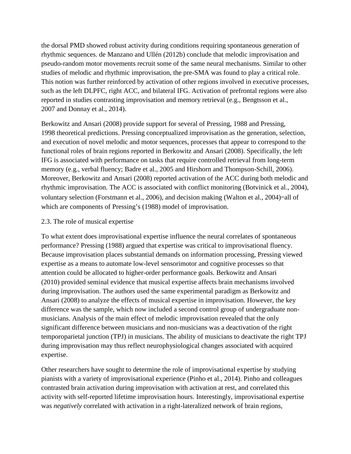the dorsal PMD showed robust activity during conditions requiring spontaneous generation of rhythmic sequences. de Manzano and Ullén (2012b) conclude that melodic improvisation and pseudo-random motor movements recruit some of the same neural mechanisms. Similar to other studies of melodic and rhythmic improvisation, the pre-SMA was found to play a critical role. This notion was further reinforced by activation of other regions involved in executive processes, such as the left DLPFC, right ACC, and bilateral IFG. Activation of prefrontal regions were also reported in studies contrasting improvisation and memory retrieval (e.g., Bengtsson et al., 2007 and Donnay et al., 2014).

Berkowitz and Ansari (2008) provide support for several of Pressing, 1988 and Pressing, 1998 theoretical predictions. Pressing conceptualized improvisation as the generation, selection, and execution of novel melodic and motor sequences, processes that appear to correspond to the functional roles of brain regions reported in Berkowitz and Ansari (2008). Specifically, the left IFG is associated with performance on tasks that require controlled retrieval from long-term memory (e.g., verbal fluency; Badre et al., 2005 and Hirshorn and Thompson-Schill, 2006). Moreover, Berkowitz and Ansari (2008) reported activation of the ACC during both melodic and rhythmic improvisation. The ACC is associated with conflict monitoring (Botvinick et al., 2004), voluntary selection (Forstmann et al., 2006), and decision making (Walton et al., 2004)—all of which are components of Pressing's (1988) model of improvisation.

### 2.3. The role of musical expertise

To what extent does improvisational expertise influence the neural correlates of spontaneous performance? Pressing (1988) argued that expertise was critical to improvisational fluency. Because improvisation places substantial demands on information processing, Pressing viewed expertise as a means to automate low-level sensorimotor and cognitive processes so that attention could be allocated to higher-order performance goals. Berkowitz and Ansari (2010) provided seminal evidence that musical expertise affects brain mechanisms involved during improvisation. The authors used the same experimental paradigm as Berkowitz and Ansari (2008) to analyze the effects of musical expertise in improvisation. However, the key difference was the sample, which now included a second control group of undergraduate nonmusicians. Analysis of the main effect of melodic improvisation revealed that the only significant difference between musicians and non-musicians was a deactivation of the right temporoparietal junction (TPJ) in musicians. The ability of musicians to deactivate the right TPJ during improvisation may thus reflect neurophysiological changes associated with acquired expertise.

Other researchers have sought to determine the role of improvisational expertise by studying pianists with a variety of improvisational experience (Pinho et al., 2014). Pinho and colleagues contrasted brain activation during improvisation with activation at rest, and correlated this activity with self-reported lifetime improvisation hours. Interestingly, improvisational expertise was *negatively* correlated with activation in a right-lateralized network of brain regions,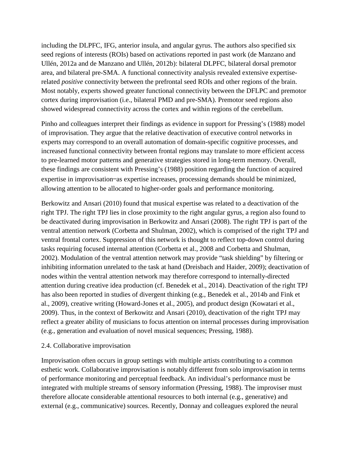including the DLPFC, IFG, anterior insula, and angular gyrus. The authors also specified six seed regions of interests (ROIs) based on activations reported in past work (de Manzano and Ullén, 2012a and de Manzano and Ullén, 2012b): bilateral DLPFC, bilateral dorsal premotor area, and bilateral pre-SMA. A functional connectivity analysis revealed extensive expertiserelated *positive* connectivity between the prefrontal seed ROIs and other regions of the brain. Most notably, experts showed greater functional connectivity between the DFLPC and premotor cortex during improvisation (i.e., bilateral PMD and pre-SMA). Premotor seed regions also showed widespread connectivity across the cortex and within regions of the cerebellum.

Pinho and colleagues interpret their findings as evidence in support for Pressing's (1988) model of improvisation. They argue that the relative deactivation of executive control networks in experts may correspond to an overall automation of domain-specific cognitive processes, and increased functional connectivity between frontal regions may translate to more efficient access to pre-learned motor patterns and generative strategies stored in long-term memory. Overall, these findings are consistent with Pressing's (1988) position regarding the function of acquired expertise in improvisation—as expertise increases, processing demands should be minimized, allowing attention to be allocated to higher-order goals and performance monitoring.

Berkowitz and Ansari (2010) found that musical expertise was related to a deactivation of the right TPJ. The right TPJ lies in close proximity to the right angular gyrus, a region also found to be deactivated during improvisation in Berkowitz and Ansari (2008). The right TPJ is part of the ventral attention network (Corbetta and Shulman, 2002), which is comprised of the right TPJ and ventral frontal cortex. Suppression of this network is thought to reflect top-down control during tasks requiring focused internal attention (Corbetta et al., 2008 and Corbetta and Shulman, 2002). Modulation of the ventral attention network may provide "task shielding" by filtering or inhibiting information unrelated to the task at hand (Dreisbach and Haider, 2009); deactivation of nodes within the ventral attention network may therefore correspond to internally-directed attention during creative idea production (cf. Benedek et al., 2014). Deactivation of the right TPJ has also been reported in studies of divergent thinking (e.g., Benedek et al., 2014b and Fink et al., 2009), creative writing (Howard-Jones et al., 2005), and product design (Kowatari et al., 2009). Thus, in the context of Berkowitz and Ansari (2010), deactivation of the right TPJ may reflect a greater ability of musicians to focus attention on internal processes during improvisation (e.g., generation and evaluation of novel musical sequences; Pressing, 1988).

### 2.4. Collaborative improvisation

Improvisation often occurs in group settings with multiple artists contributing to a common esthetic work. Collaborative improvisation is notably different from solo improvisation in terms of performance monitoring and perceptual feedback. An individual's performance must be integrated with multiple streams of sensory information (Pressing, 1988). The improviser must therefore allocate considerable attentional resources to both internal (e.g., generative) and external (e.g., communicative) sources. Recently, Donnay and colleagues explored the neural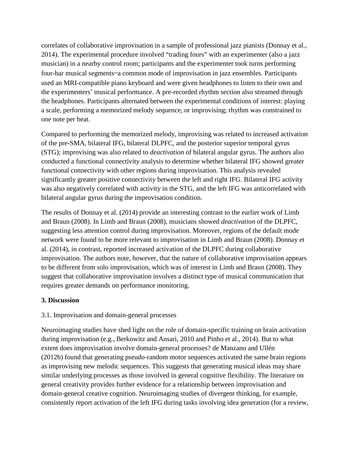correlates of collaborative improvisation in a sample of professional jazz pianists (Donnay et al., 2014). The experimental procedure involved "trading fours" with an experimenter (also a jazz musician) in a nearby control room; participants and the experimenter took turns performing four-bar musical segments—a common mode of improvisation in jazz ensembles. Participants used an MRI-compatible piano keyboard and were given headphones to listen to their own and the experimenters' musical performance. A pre-recorded rhythm section also streamed through the headphones. Participants alternated between the experimental conditions of interest: playing a scale, performing a memorized melody sequence, or improvising; rhythm was constrained to one note per beat.

Compared to performing the memorized melody, improvising was related to increased activation of the pre-SMA, bilateral IFG, bilateral DLPFC, and the posterior superior temporal gyrus (STG); improvising was also related to *deactivation* of bilateral angular gyrus. The authors also conducted a functional connectivity analysis to determine whether bilateral IFG showed greater functional connectivity with other regions during improvisation. This analysis revealed significantly greater positive connectivity between the left and right IFG. Bilateral IFG activity was also negatively correlated with activity in the STG, and the left IFG was anticorrelated with bilateral angular gyrus during the improvisation condition.

The results of Donnay et al. (2014) provide an interesting contrast to the earlier work of Limb and Braun (2008). In Limb and Braun (2008), musicians showed *deactivation* of the DLPFC, suggesting less attention control during improvisation. Moreover, regions of the default mode network were found to be more relevant to improvisation in Limb and Braun (2008). Donnay et al. (2014), in contrast, reported increased activation of the DLPFC during collaborative improvisation. The authors note, however, that the nature of collaborative improvisation appears to be different from solo improvisation, which was of interest in Limb and Braun (2008). They suggest that collaborative improvisation involves a distinct type of musical communication that requires greater demands on performance monitoring.

## **3. Discussion**

## 3.1. Improvisation and domain-general processes

Neuroimaging studies have shed light on the role of domain-specific training on brain activation during improvisation (e.g., Berkowitz and Ansari, 2010 and Pinho et al., 2014). But to what extent does improvisation involve domain-general processes? de Manzano and Ullén (2012b) found that generating pseudo-random motor sequences activated the same brain regions as improvising new melodic sequences. This suggests that generating musical ideas may share similar underlying processes as those involved in general cognitive flexibility. The literature on general creativity provides further evidence for a relationship between improvisation and domain-general creative cognition. Neuroimaging studies of divergent thinking, for example, consistently report activation of the left IFG during tasks involving idea generation (for a review,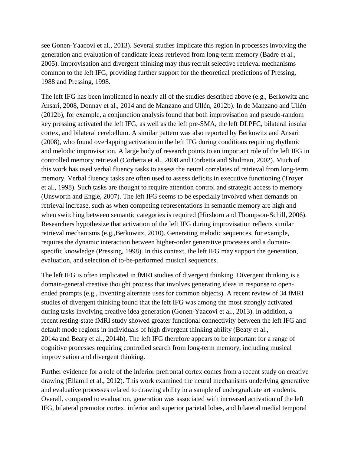see Gonen-Yaacovi et al., 2013). Several studies implicate this region in processes involving the generation and evaluation of candidate ideas retrieved from long-term memory (Badre et al., 2005). Improvisation and divergent thinking may thus recruit selective retrieval mechanisms common to the left IFG, providing further support for the theoretical predictions of Pressing, 1988 and Pressing, 1998.

The left IFG has been implicated in nearly all of the studies described above (e.g., Berkowitz and Ansari, 2008, Donnay et al., 2014 and de Manzano and Ullén, 2012b). In de Manzano and Ullén (2012b), for example, a conjunction analysis found that both improvisation and pseudo-random key pressing activated the left IFG, as well as the left pre-SMA, the left DLPFC, bilateral insular cortex, and bilateral cerebellum. A similar pattern was also reported by Berkowitz and Ansari (2008), who found overlapping activation in the left IFG during conditions requiring rhythmic and melodic improvisation. A large body of research points to an important role of the left IFG in controlled memory retrieval (Corbetta et al., 2008 and Corbetta and Shulman, 2002). Much of this work has used verbal fluency tasks to assess the neural correlates of retrieval from long-term memory. Verbal fluency tasks are often used to assess deficits in executive functioning (Troyer et al., 1998). Such tasks are thought to require attention control and strategic access to memory (Unsworth and Engle, 2007). The left IFG seems to be especially involved when demands on retrieval increase, such as when competing representations in semantic memory are high and when switching between semantic categories is required (Hirshorn and Thompson-Schill, 2006). Researchers hypothesize that activation of the left IFG during improvisation reflects similar retrieval mechanisms (e.g.,Berkowitz, 2010). Generating melodic sequences, for example, requires the dynamic interaction between higher-order generative processes and a domainspecific knowledge (Pressing, 1998). In this context, the left IFG may support the generation, evaluation, and selection of to-be-performed musical sequences.

The left IFG is often implicated in fMRI studies of divergent thinking. Divergent thinking is a domain-general creative thought process that involves generating ideas in response to openended prompts (e.g., inventing alternate uses for common objects). A recent review of 34 fMRI studies of divergent thinking found that the left IFG was among the most strongly activated during tasks involving creative idea generation (Gonen-Yaacovi et al., 2013). In addition, a recent resting-state fMRI study showed greater functional connectivity between the left IFG and default mode regions in individuals of high divergent thinking ability (Beaty et al., 2014a and Beaty et al., 2014b). The left IFG therefore appears to be important for a range of cognitive processes requiring controlled search from long-term memory, including musical improvisation and divergent thinking.

Further evidence for a role of the inferior prefrontal cortex comes from a recent study on creative drawing (Ellamil et al., 2012). This work examined the neural mechanisms underlying generative and evaluative processes related to drawing ability in a sample of undergraduate art students. Overall, compared to evaluation, generation was associated with increased activation of the left IFG, bilateral premotor cortex, inferior and superior parietal lobes, and bilateral medial temporal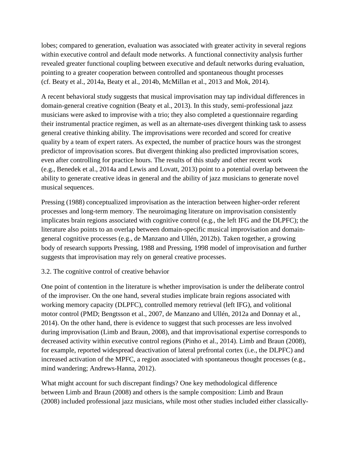lobes; compared to generation, evaluation was associated with greater activity in several regions within executive control and default mode networks. A functional connectivity analysis further revealed greater functional coupling between executive and default networks during evaluation, pointing to a greater cooperation between controlled and spontaneous thought processes (cf. Beaty et al., 2014a, Beaty et al., 2014b, McMillan et al., 2013 and Mok, 2014).

A recent behavioral study suggests that musical improvisation may tap individual differences in domain-general creative cognition (Beaty et al., 2013). In this study, semi-professional jazz musicians were asked to improvise with a trio; they also completed a questionnaire regarding their instrumental practice regimen, as well as an alternate-uses divergent thinking task to assess general creative thinking ability. The improvisations were recorded and scored for creative quality by a team of expert raters. As expected, the number of practice hours was the strongest predictor of improvisation scores. But divergent thinking also predicted improvisation scores, even after controlling for practice hours. The results of this study and other recent work (e.g., Benedek et al., 2014a and Lewis and Lovatt, 2013) point to a potential overlap between the ability to generate creative ideas in general and the ability of jazz musicians to generate novel musical sequences.

Pressing (1988) conceptualized improvisation as the interaction between higher-order referent processes and long-term memory. The neuroimaging literature on improvisation consistently implicates brain regions associated with cognitive control (e.g., the left IFG and the DLPFC); the literature also points to an overlap between domain-specific musical improvisation and domaingeneral cognitive processes (e.g., de Manzano and Ullén, 2012b). Taken together, a growing body of research supports Pressing, 1988 and Pressing, 1998 model of improvisation and further suggests that improvisation may rely on general creative processes.

## 3.2. The cognitive control of creative behavior

One point of contention in the literature is whether improvisation is under the deliberate control of the improviser. On the one hand, several studies implicate brain regions associated with working memory capacity (DLPFC), controlled memory retrieval (left IFG), and volitional motor control (PMD; Bengtsson et al., 2007, de Manzano and Ullén, 2012a and Donnay et al., 2014). On the other hand, there is evidence to suggest that such processes are less involved during improvisation (Limb and Braun, 2008), and that improvisational expertise corresponds to decreased activity within executive control regions (Pinho et al., 2014). Limb and Braun (2008), for example, reported widespread deactivation of lateral prefrontal cortex (i.e., the DLPFC) and increased activation of the MPFC, a region associated with spontaneous thought processes (e.g., mind wandering; Andrews-Hanna, 2012).

What might account for such discrepant findings? One key methodological difference between Limb and Braun (2008) and others is the sample composition: Limb and Braun (2008) included professional jazz musicians, while most other studies included either classically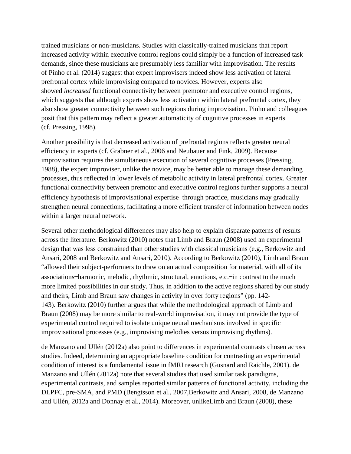trained musicians or non-musicians. Studies with classically-trained musicians that report increased activity within executive control regions could simply be a function of increased task demands, since these musicians are presumably less familiar with improvisation. The results of Pinho et al. (2014) suggest that expert improvisers indeed show less activation of lateral prefrontal cortex while improvising compared to novices. However, experts also showed *increased* functional connectivity between premotor and executive control regions, which suggests that although experts show less activation within lateral prefrontal cortex, they also show greater connectivity between such regions during improvisation. Pinho and colleagues posit that this pattern may reflect a greater automaticity of cognitive processes in experts (cf. Pressing, 1998).

Another possibility is that decreased activation of prefrontal regions reflects greater neural efficiency in experts (cf. Grabner et al., 2006 and Neubauer and Fink, 2009). Because improvisation requires the simultaneous execution of several cognitive processes (Pressing, 1988), the expert improviser, unlike the novice, may be better able to manage these demanding processes, thus reflected in lower levels of metabolic activity in lateral prefrontal cortex. Greater functional connectivity between premotor and executive control regions further supports a neural efficiency hypothesis of improvisational expertise—through practice, musicians may gradually strengthen neural connections, facilitating a more efficient transfer of information between nodes within a larger neural network.

Several other methodological differences may also help to explain disparate patterns of results across the literature. Berkowitz (2010) notes that Limb and Braun (2008) used an experimental design that was less constrained than other studies with classical musicians (e.g., Berkowitz and Ansari, 2008 and Berkowitz and Ansari, 2010). According to Berkowitz (2010), Limb and Braun "allowed their subject-performers to draw on an actual composition for material, with all of its associations—harmonic, melodic, rhythmic, structural, emotions, etc.—in contrast to the much more limited possibilities in our study. Thus, in addition to the active regions shared by our study and theirs, Limb and Braun saw changes in activity in over forty regions" (pp. 142- 143). Berkowitz (2010) further argues that while the methodological approach of Limb and Braun (2008) may be more similar to real-world improvisation, it may not provide the type of experimental control required to isolate unique neural mechanisms involved in specific improvisational processes (e.g., improvising melodies versus improvising rhythms).

de Manzano and Ullén (2012a) also point to differences in experimental contrasts chosen across studies. Indeed, determining an appropriate baseline condition for contrasting an experimental condition of interest is a fundamental issue in fMRI research (Gusnard and Raichle, 2001). de Manzano and Ullén (2012a) note that several studies that used similar task paradigms, experimental contrasts, and samples reported similar patterns of functional activity, including the DLPFC, pre-SMA, and PMD (Bengtsson et al., 2007,Berkowitz and Ansari, 2008, de Manzano and Ullén, 2012a and Donnay et al., 2014). Moreover, unlikeLimb and Braun (2008), these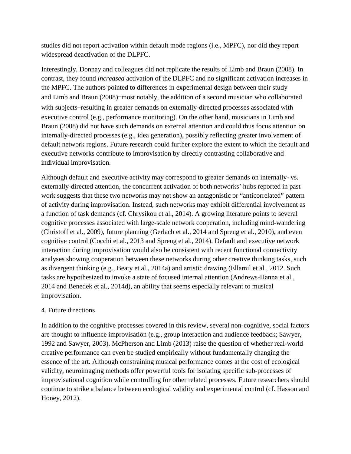studies did not report activation within default mode regions (i.e., MPFC), nor did they report widespread deactivation of the DLPFC.

Interestingly, Donnay and colleagues did not replicate the results of Limb and Braun (2008). In contrast, they found *increased* activation of the DLPFC and no significant activation increases in the MPFC. The authors pointed to differences in experimental design between their study and Limb and Braun (2008)—most notably, the addition of a second musician who collaborated with subjects—resulting in greater demands on externally-directed processes associated with executive control (e.g., performance monitoring). On the other hand, musicians in Limb and Braun (2008) did not have such demands on external attention and could thus focus attention on internally-directed processes (e.g., idea generation), possibly reflecting greater involvement of default network regions. Future research could further explore the extent to which the default and executive networks contribute to improvisation by directly contrasting collaborative and individual improvisation.

Although default and executive activity may correspond to greater demands on internally- vs. externally-directed attention, the concurrent activation of both networks' hubs reported in past work suggests that these two networks may not show an antagonistic or "anticorrelated" pattern of activity during improvisation. Instead, such networks may exhibit differential involvement as a function of task demands (cf. Chrysikou et al., 2014). A growing literature points to several cognitive processes associated with large-scale network cooperation, including mind-wandering (Christoff et al., 2009), future planning (Gerlach et al., 2014 and Spreng et al., 2010), and even cognitive control (Cocchi et al., 2013 and Spreng et al., 2014). Default and executive network interaction during improvisation would also be consistent with recent functional connectivity analyses showing cooperation between these networks during other creative thinking tasks, such as divergent thinking (e.g., Beaty et al., 2014a) and artistic drawing (Ellamil et al., 2012. Such tasks are hypothesized to invoke a state of focused internal attention (Andrews-Hanna et al., 2014 and Benedek et al., 2014d), an ability that seems especially relevant to musical improvisation.

## 4. Future directions

In addition to the cognitive processes covered in this review, several non-cognitive, social factors are thought to influence improvisation (e.g., group interaction and audience feedback; Sawyer, 1992 and Sawyer, 2003). McPherson and Limb (2013) raise the question of whether real-world creative performance can even be studied empirically without fundamentally changing the essence of the art. Although constraining musical performance comes at the cost of ecological validity, neuroimaging methods offer powerful tools for isolating specific sub-processes of improvisational cognition while controlling for other related processes. Future researchers should continue to strike a balance between ecological validity and experimental control (cf. Hasson and Honey, 2012).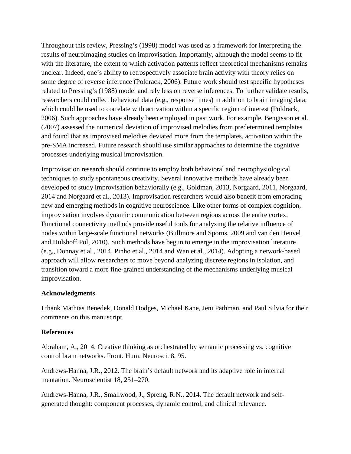Throughout this review, Pressing's (1998) model was used as a framework for interpreting the results of neuroimaging studies on improvisation. Importantly, although the model seems to fit with the literature, the extent to which activation patterns reflect theoretical mechanisms remains unclear. Indeed, one's ability to retrospectively associate brain activity with theory relies on some degree of reverse inference (Poldrack, 2006). Future work should test specific hypotheses related to Pressing's (1988) model and rely less on reverse inferences. To further validate results, researchers could collect behavioral data (e.g., response times) in addition to brain imaging data, which could be used to correlate with activation within a specific region of interest (Poldrack, 2006). Such approaches have already been employed in past work. For example, Bengtsson et al. (2007) assessed the numerical deviation of improvised melodies from predetermined templates and found that as improvised melodies deviated more from the templates, activation within the pre-SMA increased. Future research should use similar approaches to determine the cognitive processes underlying musical improvisation.

Improvisation research should continue to employ both behavioral and neurophysiological techniques to study spontaneous creativity. Several innovative methods have already been developed to study improvisation behaviorally (e.g., Goldman, 2013, Norgaard, 2011, Norgaard, 2014 and Norgaard et al., 2013). Improvisation researchers would also benefit from embracing new and emerging methods in cognitive neuroscience. Like other forms of complex cognition, improvisation involves dynamic communication between regions across the entire cortex. Functional connectivity methods provide useful tools for analyzing the relative influence of nodes within large-scale functional networks (Bullmore and Sporns, 2009 and van den Heuvel and Hulshoff Pol, 2010). Such methods have begun to emerge in the improvisation literature (e.g., Donnay et al., 2014, Pinho et al., 2014 and Wan et al., 2014). Adopting a network-based approach will allow researchers to move beyond analyzing discrete regions in isolation, and transition toward a more fine-grained understanding of the mechanisms underlying musical improvisation.

## **Acknowledgments**

I thank Mathias Benedek, Donald Hodges, Michael Kane, Jeni Pathman, and Paul Silvia for their comments on this manuscript.

## **References**

Abraham, A., 2014. Creative thinking as orchestrated by semantic processing vs. cognitive control brain networks. Front. Hum. Neurosci. 8, 95.

Andrews-Hanna, J.R., 2012. The brain's default network and its adaptive role in internal mentation. Neuroscientist 18, 251–270.

Andrews-Hanna, J.R., Smallwood, J., Spreng, R.N., 2014. The default network and selfgenerated thought: component processes, dynamic control, and clinical relevance.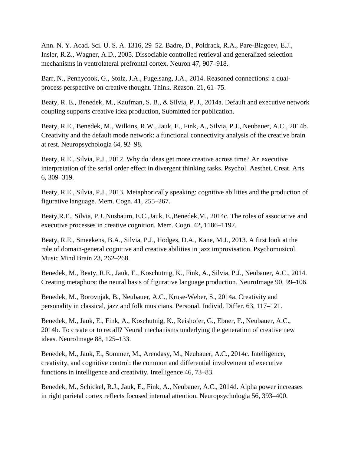Ann. N. Y. Acad. Sci. U. S. A. 1316, 29–52. Badre, D., Poldrack, R.A., Pare-Blagoev, E.J., Insler, R.Z., Wagner, A.D., 2005. Dissociable controlled retrieval and generalized selection mechanisms in ventrolateral prefrontal cortex. Neuron 47, 907–918.

Barr, N., Pennycook, G., Stolz, J.A., Fugelsang, J.A., 2014. Reasoned connections: a dualprocess perspective on creative thought. Think. Reason. 21, 61–75.

Beaty, R. E., Benedek, M., Kaufman, S. B., & Silvia, P. J., 2014a. Default and executive network coupling supports creative idea production, Submitted for publication.

Beaty, R.E., Benedek, M., Wilkins, R.W., Jauk, E., Fink, A., Silvia, P.J., Neubauer, A.C., 2014b. Creativity and the default mode network: a functional connectivity analysis of the creative brain at rest. Neuropsychologia 64, 92–98.

Beaty, R.E., Silvia, P.J., 2012. Why do ideas get more creative across time? An executive interpretation of the serial order effect in divergent thinking tasks. Psychol. Aesthet. Creat. Arts 6, 309–319.

Beaty, R.E., Silvia, P.J., 2013. Metaphorically speaking: cognitive abilities and the production of figurative language. Mem. Cogn. 41, 255–267.

Beaty,R.E., Silvia, P.J.,Nusbaum, E.C.,Jauk, E.,Benedek,M., 2014c. The roles of associative and executive processes in creative cognition. Mem. Cogn. 42, 1186–1197.

Beaty, R.E., Smeekens, B.A., Silvia, P.J., Hodges, D.A., Kane, M.J., 2013. A first look at the role of domain-general cognitive and creative abilities in jazz improvisation. Psychomusicol. Music Mind Brain 23, 262–268.

Benedek, M., Beaty, R.E., Jauk, E., Koschutnig, K., Fink, A., Silvia, P.J., Neubauer, A.C., 2014. Creating metaphors: the neural basis of figurative language production. NeuroImage 90, 99–106.

Benedek, M., Borovnjak, B., Neubauer, A.C., Kruse-Weber, S., 2014a. Creativity and personality in classical, jazz and folk musicians. Personal. Individ. Differ. 63, 117–121.

Benedek, M., Jauk, E., Fink, A., Koschutnig, K., Reishofer, G., Ebner, F., Neubauer, A.C., 2014b. To create or to recall? Neural mechanisms underlying the generation of creative new ideas. NeuroImage 88, 125–133.

Benedek, M., Jauk, E., Sommer, M., Arendasy, M., Neubauer, A.C., 2014c. Intelligence, creativity, and cognitive control: the common and differential involvement of executive functions in intelligence and creativity. Intelligence 46, 73–83.

Benedek, M., Schickel, R.J., Jauk, E., Fink, A., Neubauer, A.C., 2014d. Alpha power increases in right parietal cortex reflects focused internal attention. Neuropsychologia 56, 393–400.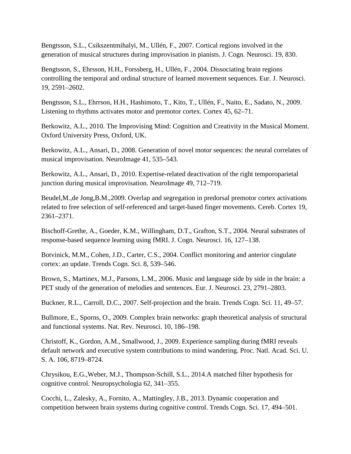Bengtsson, S.L., Csikszentmihalyi, M., Ullén, F., 2007. Cortical regions involved in the generation of musical structures during improvisation in pianists. J. Cogn. Neurosci. 19, 830.

Bengtsson, S., Ehrsson, H.H., Forssberg, H., Ullén, F., 2004. Dissociating brain regions controlling the temporal and ordinal structure of learned movement sequences. Eur. J. Neurosci. 19, 2591–2602.

Bengtsson, S.L., Ehrrson, H.H., Hashimoto, T., Kito, T., Ullén, F., Naito, E., Sadato, N., 2009. Listening to rhythms activates motor and premotor cortex. Cortex 45, 62–71.

Berkowitz, A.L., 2010. The Improvising Mind: Cognition and Creativity in the Musical Moment. Oxford University Press, Oxford, UK.

Berkowitz, A.L., Ansari, D., 2008. Generation of novel motor sequences: the neural correlates of musical improvisation. NeuroImage 41, 535–543.

Berkowitz, A.L., Ansari, D., 2010. Expertise-related deactivation of the right temporoparietal junction during musical improvisation. NeuroImage 49, 712–719.

Beudel,M.,de Jong,B.M.,2009. Overlap and segregation in predorsal premotor cortex activations related to free selection of self-referenced and target-based finger movements. Cereb. Cortex 19, 2361–2371.

Bischoff-Grethe, A., Goeder, K.M., Willingham, D.T., Grafton, S.T., 2004. Neural substrates of response-based sequence learning using fMRI. J. Cogn. Neurosci. 16, 127–138.

Botvinick, M.M., Cohen, J.D., Carter, C.S., 2004. Conflict monitoring and anterior cingulate cortex: an update. Trends Cogn. Sci. 8, 539–546.

Brown, S., Martinex, M.J., Parsons, L.M., 2006. Music and language side by side in the brain: a PET study of the generation of melodies and sentences. Eur. J. Neurosci. 23, 2791–2803.

Buckner, R.L., Carroll, D.C., 2007. Self-projection and the brain. Trends Cogn. Sci. 11, 49–57.

Bullmore, E., Sporns, O., 2009. Complex brain networks: graph theoretical analysis of structural and functional systems. Nat. Rev. Neurosci. 10, 186–198.

Christoff, K., Gordon, A.M., Smallwood, J., 2009. Experience sampling during fMRI reveals default network and executive system contributions to mind wandering. Proc. Natl. Acad. Sci. U. S. A. 106, 8719–8724.

Chrysikou, E.G.,Weber, M.J., Thompson-Schill, S.L., 2014.A matched filter hypothesis for cognitive control. Neuropsychologia 62, 341–355.

Cocchi, L., Zalesky, A., Fornito, A., Mattingley, J.B., 2013. Dynamic cooperation and competition between brain systems during cognitive control. Trends Cogn. Sci. 17, 494–501.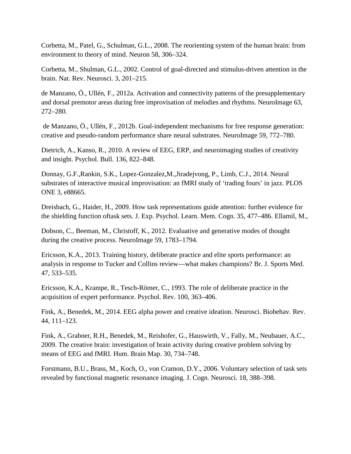Corbetta, M., Patel, G., Schulman, G.L., 2008. The reorienting system of the human brain: from environment to theory of mind. Neuron 58, 306–324.

Corbetta, M., Shulman, G.L., 2002. Control of goal-directed and stimulus-driven attention in the brain. Nat. Rev. Neurosci. 3, 201–215.

de Manzano, Ö., Ullén, F., 2012a. Activation and connectivity patterns of the presupplementary and dorsal premotor areas during free improvisation of melodies and rhythms. NeuroImage 63, 272–280.

de Manzano, Ö., Ullén, F., 2012b. Goal-independent mechanisms for free response generation: creative and pseudo-random performance share neural substrates. NeuroImage 59, 772–780.

Dietrich, A., Kanso, R., 2010. A review of EEG, ERP, and neuroimaging studies of creativity and insight. Psychol. Bull. 136, 822–848.

Donnay, G.F.,Rankin, S.K., Lopez-Gonzalez,M.,Jiradejvong, P., Limb, C.J., 2014. Neural substrates of interactive musical improvisation: an fMRI study of 'trading fours' in jazz. PLOS ONE 3, e88665.

Dreisbach, G., Haider, H., 2009. How task representations guide attention: further evidence for the shielding function oftask sets. J. Exp. Psychol. Learn. Mem. Cogn. 35, 477–486. Ellamil, M.,

Dobson, C., Beeman, M., Christoff, K., 2012. Evaluative and generative modes of thought during the creative process. NeuroImage 59, 1783–1794.

Ericsson, K.A., 2013. Training history, deliberate practice and elite sports performance: an analysis in response to Tucker and Collins review—what makes champions? Br. J. Sports Med. 47, 533–535.

Ericsson, K.A., Krampe, R., Tesch-Römer, C., 1993. The role of deliberate practice in the acquisition of expert performance. Psychol. Rev. 100, 363–406.

Fink, A., Benedek, M., 2014. EEG alpha power and creative ideation. Neurosci. Biobehav. Rev. 44, 111–123.

Fink, A., Grabner, R.H., Benedek, M., Reishofer, G., Hauswirth, V., Fally, M., Neubauer, A.C., 2009. The creative brain: investigation of brain activity during creative problem solving by means of EEG and fMRI. Hum. Brain Map. 30, 734–748.

Forstmann, B.U., Brass, M., Koch, O., von Cramon, D.Y., 2006. Voluntary selection of task sets revealed by functional magnetic resonance imaging. J. Cogn. Neurosci. 18, 388–398.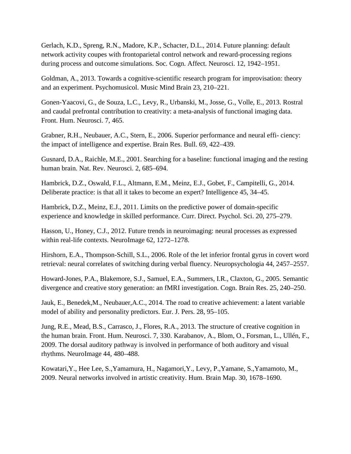Gerlach, K.D., Spreng, R.N., Madore, K.P., Schacter, D.L., 2014. Future planning: default network activity coupes with frontoparietal control network and reward-processing regions during process and outcome simulations. Soc. Cogn. Affect. Neurosci. 12, 1942–1951.

Goldman, A., 2013. Towards a cognitive-scientific research program for improvisation: theory and an experiment. Psychomusicol. Music Mind Brain 23, 210–221.

Gonen-Yaacovi, G., de Souza, L.C., Levy, R., Urbanski, M., Josse, G., Volle, E., 2013. Rostral and caudal prefrontal contribution to creativity: a meta-analysis of functional imaging data. Front. Hum. Neurosci. 7, 465.

Grabner, R.H., Neubauer, A.C., Stern, E., 2006. Superior performance and neural effi- ciency: the impact of intelligence and expertise. Brain Res. Bull. 69, 422–439.

Gusnard, D.A., Raichle, M.E., 2001. Searching for a baseline: functional imaging and the resting human brain. Nat. Rev. Neurosci. 2, 685–694.

Hambrick, D.Z., Oswald, F.L., Altmann, E.M., Meinz, E.J., Gobet, F., Campitelli, G., 2014. Deliberate practice: is that all it takes to become an expert? Intelligence 45, 34–45.

Hambrick, D.Z., Meinz, E.J., 2011. Limits on the predictive power of domain-specific experience and knowledge in skilled performance. Curr. Direct. Psychol. Sci. 20, 275–279.

Hasson, U., Honey, C.J., 2012. Future trends in neuroimaging: neural processes as expressed within real-life contexts. NeuroImage 62, 1272–1278.

Hirshorn, E.A., Thompson-Schill, S.L., 2006. Role of the let inferior frontal gyrus in covert word retrieval: neural correlates of switching during verbal fluency. Neuropsychologia 44, 2457–2557.

Howard-Jones, P.A., Blakemore, S.J., Samuel, E.A., Summers, I.R., Claxton, G., 2005. Semantic divergence and creative story generation: an fMRI investigation. Cogn. Brain Res. 25, 240–250.

Jauk, E., Benedek,M., Neubauer,A.C., 2014. The road to creative achievement: a latent variable model of ability and personality predictors. Eur. J. Pers. 28, 95–105.

Jung, R.E., Mead, B.S., Carrasco, J., Flores, R.A., 2013. The structure of creative cognition in the human brain. Front. Hum. Neurosci. 7, 330. Karabanov, A., Blom, O., Forsman, L., Ullén, F., 2009. The dorsal auditory pathway is involved in performance of both auditory and visual rhythms. NeuroImage 44, 480–488.

Kowatari,Y., Hee Lee, S.,Yamamura, H., Nagamori,Y., Levy, P.,Yamane, S.,Yamamoto, M., 2009. Neural networks involved in artistic creativity. Hum. Brain Map. 30, 1678–1690.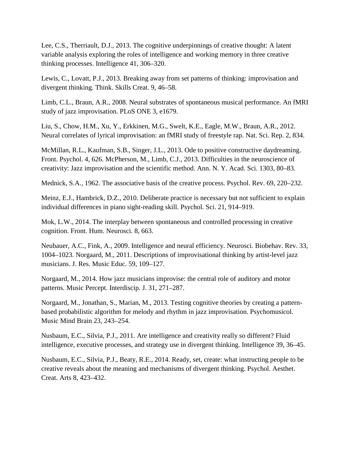Lee, C.S., Therriault, D.J., 2013. The cognitive underpinnings of creative thought: A latent variable analysis exploring the roles of intelligence and working memory in three creative thinking processes. Intelligence 41, 306–320.

Lewis, C., Lovatt, P.J., 2013. Breaking away from set patterns of thinking: improvisation and divergent thinking. Think. Skills Creat. 9, 46–58.

Limb, C.L., Braun, A.R., 2008. Neural substrates of spontaneous musical performance. An fMRI study of jazz improvisation. PLoS ONE 3, e1679.

Liu, S., Chow, H.M., Xu, Y., Erkkinen, M.G., Swelt, K.E., Eagle, M.W., Braun, A.R., 2012. Neural correlates of lyrical improvisation: an fMRI study of freestyle rap. Nat. Sci. Rep. 2, 834.

McMillan, R.L., Kaufman, S.B., Singer, J.L., 2013. Ode to positive constructive daydreaming. Front. Psychol. 4, 626. McPherson, M., Limb, C.J., 2013. Difficulties in the neuroscience of creativity: Jazz improvisation and the scientific method. Ann. N. Y. Acad. Sci. 1303, 80–83.

Mednick, S.A., 1962. The associative basis of the creative process. Psychol. Rev. 69, 220–232.

Meinz, E.J., Hambrick, D.Z., 2010. Deliberate practice is necessary but not sufficient to explain individual differences in piano sight-reading skill. Psychol. Sci. 21, 914–919.

Mok, L.W., 2014. The interplay between spontaneous and controlled processing in creative cognition. Front. Hum. Neurosci. 8, 663.

Neubauer, A.C., Fink, A., 2009. Intelligence and neural efficiency. Neurosci. Biobehav. Rev. 33, 1004–1023. Norgaard, M., 2011. Descriptions of improvisational thinking by artist-level jazz musicians. J. Res. Music Educ. 59, 109–127.

Norgaard, M., 2014. How jazz musicians improvise: the central role of auditory and motor patterns. Music Percept. Interdiscip. J. 31, 271–287.

Norgaard, M., Jonathan, S., Marian, M., 2013. Testing cognitive theories by creating a patternbased probabilistic algorithm for melody and rhythm in jazz improvisation. Psychomusicol. Music Mind Brain 23, 243–254.

Nusbaum, E.C., Silvia, P.J., 2011. Are intelligence and creativity really so different? Fluid intelligence, executive processes, and strategy use in divergent thinking. Intelligence 39, 36–45.

Nusbaum, E.C., Silvia, P.J., Beaty, R.E., 2014. Ready, set, create: what instructing people to be creative reveals about the meaning and mechanisms of divergent thinking. Psychol. Aesthet. Creat. Arts 8, 423–432.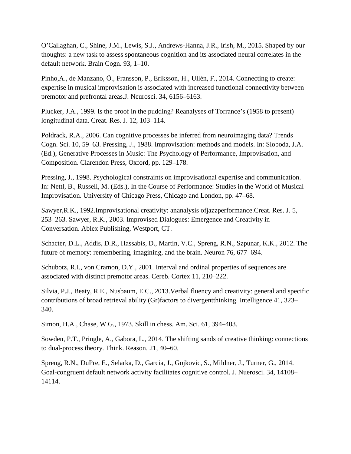O'Callaghan, C., Shine, J.M., Lewis, S.J., Andrews-Hanna, J.R., Irish, M., 2015. Shaped by our thoughts: a new task to assess spontaneous cognition and its associated neural correlates in the default network. Brain Cogn. 93, 1–10.

Pinho,A., de Manzano, Ö., Fransson, P., Eriksson, H., Ullén, F., 2014. Connecting to create: expertise in musical improvisation is associated with increased functional connectivity between premotor and prefrontal areas.J. Neurosci. 34, 6156–6163.

Plucker, J.A., 1999. Is the proof in the pudding? Reanalyses of Torrance's (1958 to present) longitudinal data. Creat. Res. J. 12, 103–114.

Poldrack, R.A., 2006. Can cognitive processes be inferred from neuroimaging data? Trends Cogn. Sci. 10, 59–63. Pressing, J., 1988. Improvisation: methods and models. In: Sloboda, J.A. (Ed.), Generative Processes in Music: The Psychology of Performance, Improvisation, and Composition. Clarendon Press, Oxford, pp. 129–178.

Pressing, J., 1998. Psychological constraints on improvisational expertise and communication. In: Nettl, B., Russell, M. (Eds.), In the Course of Performance: Studies in the World of Musical Improvisation. University of Chicago Press, Chicago and London, pp. 47–68.

Sawyer,R.K., 1992.Improvisational creativity: ananalysis ofjazzperformance.Creat. Res. J. 5, 253–263. Sawyer, R.K., 2003. Improvised Dialogues: Emergence and Creativity in Conversation. Ablex Publishing, Westport, CT.

Schacter, D.L., Addis, D.R., Hassabis, D., Martin, V.C., Spreng, R.N., Szpunar, K.K., 2012. The future of memory: remembering, imagining, and the brain. Neuron 76, 677–694.

Schubotz, R.I., von Cramon, D.Y., 2001. Interval and ordinal properties of sequences are associated with distinct premotor areas. Cereb. Cortex 11, 210–222.

Silvia, P.J., Beaty, R.E., Nusbaum, E.C., 2013.Verbal fluency and creativity: general and specific contributions of broad retrieval ability (Gr)factors to divergentthinking. Intelligence 41, 323– 340.

Simon, H.A., Chase, W.G., 1973. Skill in chess. Am. Sci. 61, 394–403.

Sowden, P.T., Pringle, A., Gabora, L., 2014. The shifting sands of creative thinking: connections to dual-process theory. Think. Reason. 21, 40–60.

Spreng, R.N., DuPre, E., Selarka, D., Garcia, J., Gojkovic, S., Mildner, J., Turner, G., 2014. Goal-congruent default network activity facilitates cognitive control. J. Nuerosci. 34, 14108– 14114.